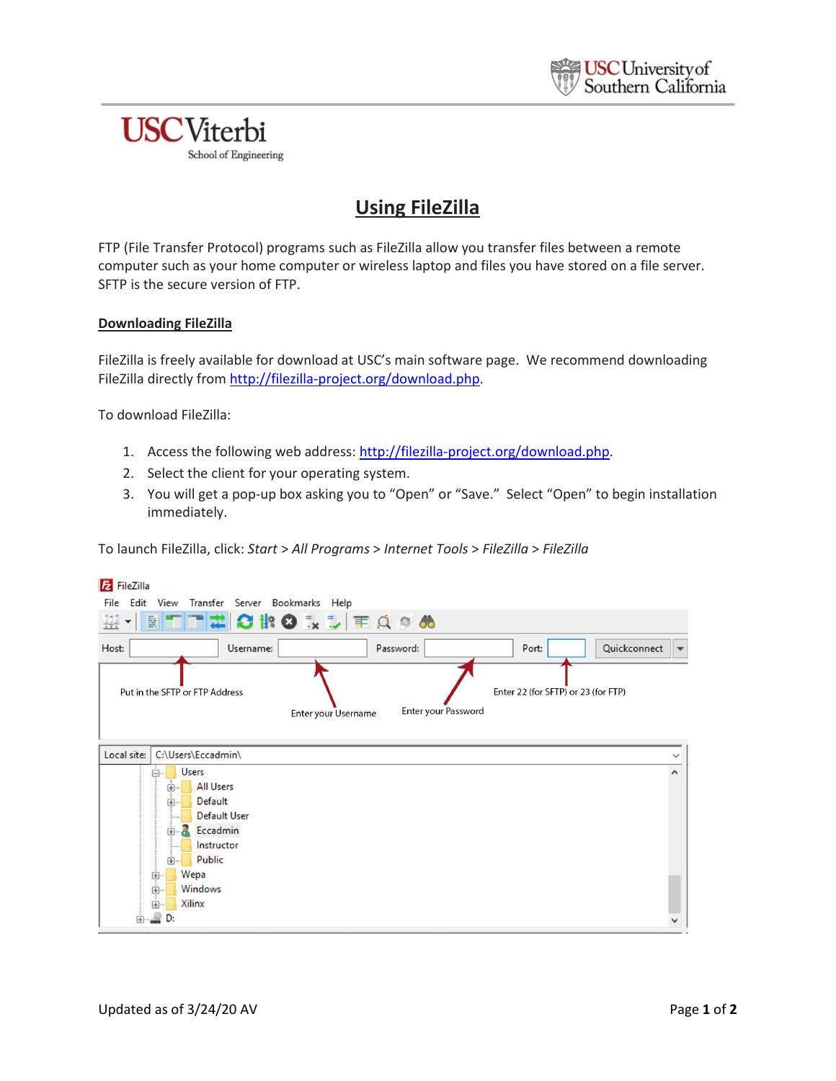## **USC**Viterbi School of Engineering

# **Using FileZilla**

FTP (File Transfer Protocol) programs such as FileZilla allow you transfer files between a remote computer such as your home computer or wireless laptop and files you have stored on a file server. SFTP is the secure version of FTP.

### **Downloading FileZilla**

FileZilla is freely available for download at USC's main software page. We recommend downloading FileZilla directly from [http://filezilla-project.org/download.php.](http://filezilla-project.org/download.php)

To download FileZilla:

- 1. Access the following web address: [http://filezilla-project.org/download.php.](http://filezilla-project.org/download.php)
- 2. Select the client for your operating system.
- 3. You will get a pop-up box asking you to "Open" or "Save." Select "Open" to begin installation immediately.

To launch FileZilla, click: *Start* > *All Programs* > *Internet Tools* > *FileZilla* > *FileZilla*

| <b>E</b> FileZilla                                                                                                                   |                          |
|--------------------------------------------------------------------------------------------------------------------------------------|--------------------------|
| File Edit View Transfer Server Bookmarks Help                                                                                        |                          |
| <b>HETHOROLLEQOO</b><br>뿊                                                                                                            |                          |
| Quickconnect<br>Host:<br>Port:<br>Username:<br>Password:                                                                             | $\overline{\phantom{0}}$ |
| Enter 22 (for SFTP) or 23 (for FTP)<br>Put in the SFTP or FTP Address<br>Enter your Password<br>Enter your Username                  |                          |
| Local site:<br>C:\Users\Eccadmin\                                                                                                    |                          |
| <b>Users</b><br>日…<br><b>All Users</b><br>中…<br>Default<br>田…<br><b>Default User</b><br>Eccadmin<br>田…<br>Instructor<br>Public<br>田- | $\wedge$                 |
| Wepa<br>中…<br>Windows<br>由…<br>Xilinx<br>Ŧ<br>D:<br>$\overline{+}$                                                                   |                          |